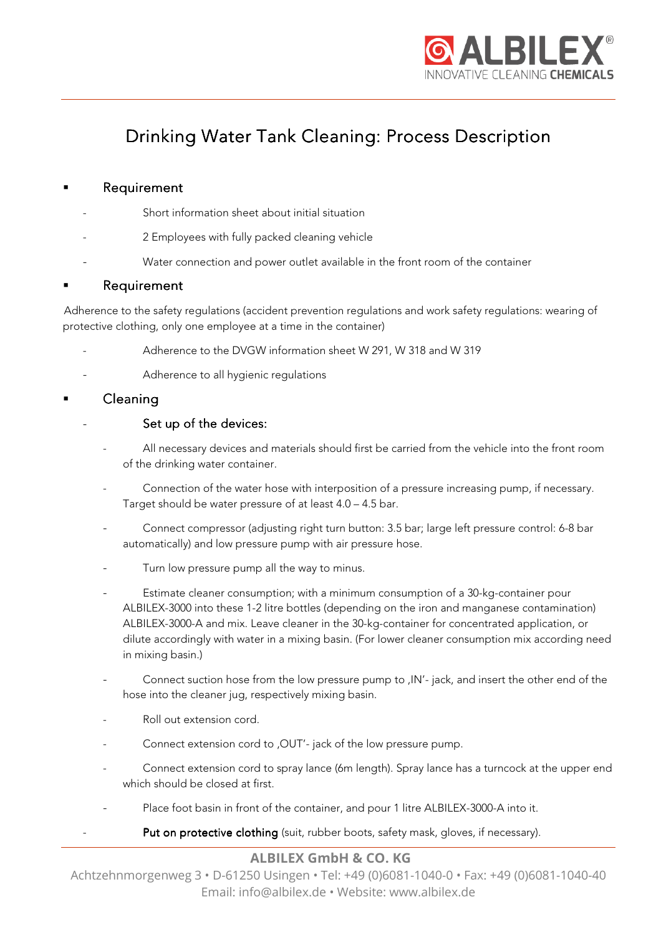

# Drinking Water Tank Cleaning: Process Description

## **Requirement**

- Short information sheet about initial situation
- 2 Employees with fully packed cleaning vehicle
- Water connection and power outlet available in the front room of the container

#### **Requirement**

 Adherence to the safety regulations (accident prevention regulations and work safety regulations: wearing of protective clothing, only one employee at a time in the container)

- Adherence to the DVGW information sheet W 291, W 318 and W 319
- Adherence to all hygienic regulations

## Cleaning

#### Set up of the devices:

- All necessary devices and materials should first be carried from the vehicle into the front room of the drinking water container.
- Connection of the water hose with interposition of a pressure increasing pump, if necessary. Target should be water pressure of at least 4.0 – 4.5 bar.
- Connect compressor (adjusting right turn button: 3.5 bar; large left pressure control: 6-8 bar automatically) and low pressure pump with air pressure hose.
- Turn low pressure pump all the way to minus.
- Estimate cleaner consumption; with a minimum consumption of a 30-kg-container pour ALBILEX-3000 into these 1-2 litre bottles (depending on the iron and manganese contamination) ALBILEX-3000-A and mix. Leave cleaner in the 30-kg-container for concentrated application, or dilute accordingly with water in a mixing basin. (For lower cleaner consumption mix according need in mixing basin.)
- Connect suction hose from the low pressure pump to ,IN'- jack, and insert the other end of the hose into the cleaner jug, respectively mixing basin.
- Roll out extension cord.
- Connect extension cord to , OUT'- jack of the low pressure pump.
- Connect extension cord to spray lance (6m length). Spray lance has a turncock at the upper end which should be closed at first.
- Place foot basin in front of the container, and pour 1 litre ALBILEX-3000-A into it.
	- Put on protective clothing (suit, rubber boots, safety mask, gloves, if necessary).

## **ALBILEX GmbH & CO. KG**

Achtzehnmorgenweg 3 • D-61250 Usingen • Tel: +49 (0)6081-1040-0 • Fax: +49 (0)6081-1040-40 Email: info@albilex.de • Website: www.albilex.de